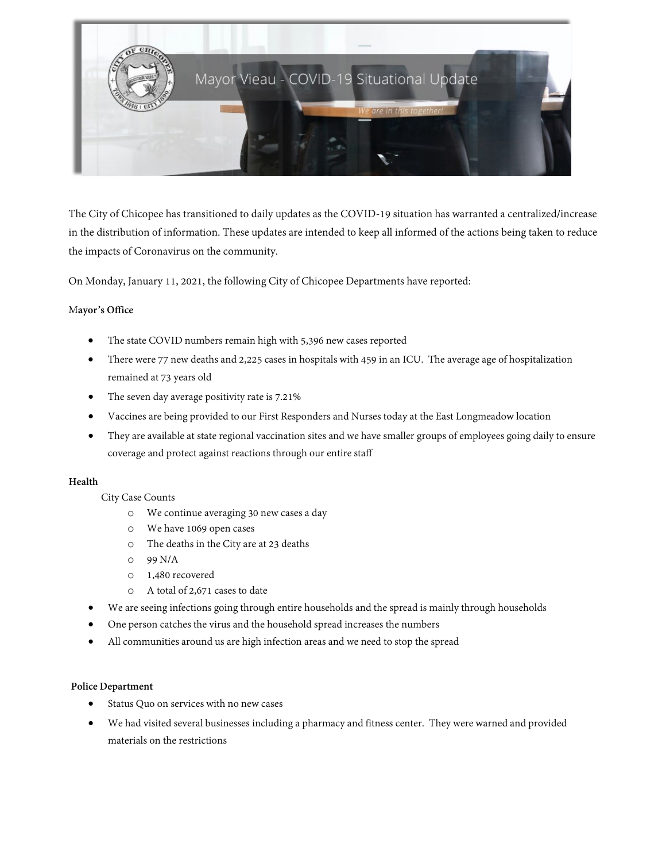

The City of Chicopee has transitioned to daily updates as the COVID-19 situation has warranted a centralized/increase in the distribution of information. These updates are intended to keep all informed of the actions being taken to reduce the impacts of Coronavirus on the community.

On Monday, January 11, 2021, the following City of Chicopee Departments have reported:

### M**ayor's Office**

- The state COVID numbers remain high with 5,396 new cases reported
- There were 77 new deaths and 2,225 cases in hospitals with 459 in an ICU. The average age of hospitalization remained at 73 years old
- The seven day average positivity rate is 7.21%
- Vaccines are being provided to our First Responders and Nurses today at the East Longmeadow location
- They are available at state regional vaccination sites and we have smaller groups of employees going daily to ensure coverage and protect against reactions through our entire staff

### **Health**

### City Case Counts

- o We continue averaging 30 new cases a day
- o We have 1069 open cases
- o The deaths in the City are at 23 deaths
- o 99 N/A
- o 1,480 recovered
- o A total of 2,671 cases to date
- We are seeing infections going through entire households and the spread is mainly through households
- One person catches the virus and the household spread increases the numbers
- All communities around us are high infection areas and we need to stop the spread

### **Police Department**

- Status Quo on services with no new cases
- We had visited several businesses including a pharmacy and fitness center. They were warned and provided materials on the restrictions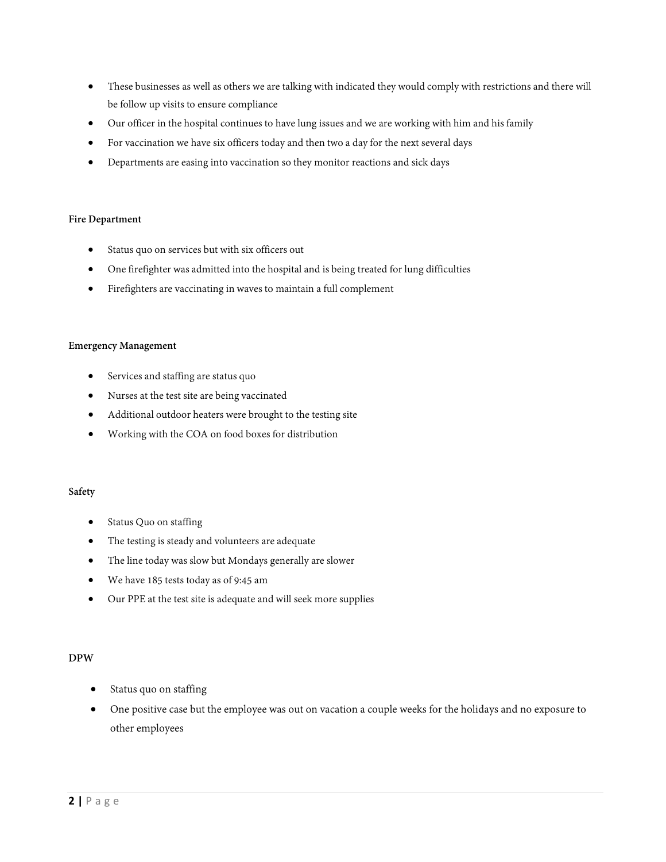- These businesses as well as others we are talking with indicated they would comply with restrictions and there will be follow up visits to ensure compliance
- Our officer in the hospital continues to have lung issues and we are working with him and his family
- For vaccination we have six officers today and then two a day for the next several days
- Departments are easing into vaccination so they monitor reactions and sick days

#### **Fire Department**

- Status quo on services but with six officers out
- One firefighter was admitted into the hospital and is being treated for lung difficulties
- Firefighters are vaccinating in waves to maintain a full complement

#### **Emergency Management**

- Services and staffing are status quo
- Nurses at the test site are being vaccinated
- Additional outdoor heaters were brought to the testing site
- Working with the COA on food boxes for distribution

### **Safety**

- Status Quo on staffing
- The testing is steady and volunteers are adequate
- The line today was slow but Mondays generally are slower
- We have 185 tests today as of 9:45 am
- Our PPE at the test site is adequate and will seek more supplies

#### **DPW**

- Status quo on staffing
- One positive case but the employee was out on vacation a couple weeks for the holidays and no exposure to other employees